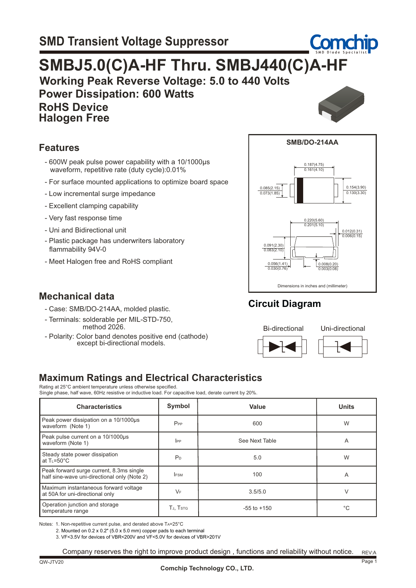# **Working Peak Reverse Voltage: 5.0 to 440 Volts SMBJ5.0(C)A-HF Thru. SMBJ440(C)A-HF**

 **Power Dissipation: 600 Watts RoHS Device**



**Comchip** 

#### **Features**

 **Halogen Free**

- 600W peak pulse power capability with a 10/1000µs waveform, repetitive rate (duty cycle):0.01%
- For surface mounted applications to optimize board space
- Low incremental surge impedance
- Excellent clamping capability
- Very fast response time
- Uni and Bidirectional unit

**Mechanical data**

- Plastic package has underwriters laboratory flammability 94V-0
- Meet Halogen free and RoHS compliant

 - Case: SMB/DO-214AA, molded plastic. - Terminals: solderable per MIL-STD-750, method 2026.

 - Polarity: Color band denotes positive end (cathode) except bi-directional models.



### **Circuit Diagram**



**Maximum Ratings and Electrical Characteristics** Rating at 25°C ambient temperature unless otherwise specified.

Single phase, half wave, 60Hz resistive or inductive load. For capacitive load, derate current by 20%.

| <b>Characteristics</b>                                                                   | Symbol          | Value           | <b>Units</b> |  |
|------------------------------------------------------------------------------------------|-----------------|-----------------|--------------|--|
| Peak power dissipation on a 10/1000us<br>waveform (Note 1)                               | $P_{PP}$<br>600 |                 | W            |  |
| Peak pulse current on a 10/1000µs<br>waveform (Note 1)                                   | $_{\rm lPP}$    | See Next Table  | A            |  |
| Steady state power dissipation<br>at $T = 50^{\circ}C$                                   | P <sub>D</sub>  | 5.0             | W            |  |
| Peak forward surge current, 8.3ms single<br>half sine-wave uni-directional only (Note 2) | <b>IFSM</b>     | 100             | A            |  |
| Maximum instantaneous forward voltage<br>at 50A for uni-directional only                 | $V_F$           | 3.5/5.0         | V            |  |
| Operation junction and storage<br>temperature range                                      | TJ, TSTG        | $-55$ to $+150$ |              |  |

Notes: 1. Non-repetitive current pulse, and derated above TA=25°C

2. Mounted on 0.2 x 0.2" (5.0 x 5.0 mm) copper pads to each terminal

3. VF<3.5V for devices of VBR<200V and VF<5.0V for devices of VBR>201V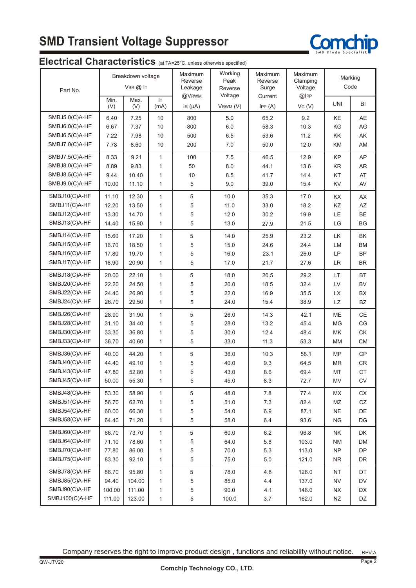# **SMD Transient Voltage Suppressor**



#### **Electrical Characteristics** (at TA=25°C, unless otherwise specified)

| Part No.       | Breakdown voltage<br>$V$ BR $@$ IT |             | Working<br>Maximum<br>Peak<br>Reverse<br>Leakage<br>Reverse<br>@VRWM<br>Voltage |              | Maximum<br>Reverse<br>Surge | Maximum<br>Clamping<br>Voltage<br>@IPP | Marking<br>Code |                        |            |
|----------------|------------------------------------|-------------|---------------------------------------------------------------------------------|--------------|-----------------------------|----------------------------------------|-----------------|------------------------|------------|
|                | Min.<br>(V)                        | Max.<br>(V) | <b>IT</b><br>(mA)                                                               | IR $(\mu A)$ | VRWM (V)                    | Current<br>IPP(A)                      | VC (V)          | <b>UNI</b>             | BI         |
| SMBJ5.0(C)A-HF | 6.40                               | 7.25        | 10                                                                              | 800          | 5.0                         | 65.2                                   | 9.2             | KE                     | AE         |
| SMBJ6.0(C)A-HF | 6.67                               | 7.37        | 10                                                                              | 800          | 6.0                         | 58.3                                   | 10.3            | KG                     | AG         |
| SMBJ6.5(C)A-HF | 7.22                               | 7.98        | 10                                                                              | 500          | 6.5                         | 53.6                                   | 11.2            | KK                     | AK         |
| SMBJ7.0(C)A-HF | 7.78                               | 8.60        | 10                                                                              | 200          | 7.0                         | 50.0                                   | 12.0            | KM                     | AM         |
| SMBJ7.5(C)A-HF | 8.33                               | 9.21        | $\mathbf{1}$                                                                    | 100          | 7.5                         | 46.5                                   | 12.9            | KP                     | AP         |
| SMBJ8.0(C)A-HF | 8.89                               | 9.83        | $\mathbf{1}$                                                                    | 50           | 8.0                         | 44.1                                   | 13.6            | <b>KR</b>              | AR         |
| SMBJ8.5(C)A-HF | 9.44                               | 10.40       | $\mathbf{1}$                                                                    | 10           | 8.5                         | 41.7                                   | 14.4            | KT                     | AT         |
| SMBJ9.0(C)A-HF | 10.00                              | 11.10       | $\mathbf{1}$                                                                    | 5            | 9.0                         | 39.0                                   | 15.4            | KV                     | AV         |
| SMBJ10(C)A-HF  | 11.10                              | 12.30       | $\mathbf{1}$                                                                    | 5            | 10.0                        | 35.3                                   | 17.0            | KX                     | AX         |
| SMBJ11(C)A-HF  | 12.20                              | 13.50       | $\mathbf{1}$                                                                    | 5            | 11.0                        | 33.0                                   | 18.2            | KZ                     | AZ         |
| SMBJ12(C)A-HF  | 13.30                              | 14.70       | $\mathbf{1}$                                                                    | 5            | 12.0                        | 30.2                                   | 19.9            | <b>LE</b>              | <b>BE</b>  |
| SMBJ13(C)A-HF  | 14.40                              | 15.90       | $\mathbf{1}$                                                                    | 5            | 13.0                        | 27.9                                   | 21.5            | LG                     | <b>BG</b>  |
| SMBJ14(C)A-HF  | 15.60                              | 17.20       | $\mathbf{1}$                                                                    | 5            | 14.0                        | 25.9                                   | 23.2            | LK                     | BK         |
| SMBJ15(C)A-HF  | 16.70                              | 18.50       | $\mathbf{1}$                                                                    | 5            | 15.0                        | 24.6                                   | 24.4            | LM                     | <b>BM</b>  |
| SMBJ16(C)A-HF  | 17.80                              | 19.70       | $\mathbf{1}$                                                                    | 5            | 16.0                        | 23.1                                   | 26.0            | LP                     | <b>BP</b>  |
| SMBJ17(C)A-HF  | 18.90                              | 20.90       | $\mathbf{1}$                                                                    | 5            | 17.0                        | 21.7                                   | 27.6            | <b>LR</b>              | <b>BR</b>  |
| SMBJ18(C)A-HF  | 20.00                              | 22.10       | $\mathbf{1}$                                                                    | 5            | 18.0                        | 20.5                                   | 29.2            | LT                     | BT         |
| SMBJ20(C)A-HF  | 22.20                              | 24.50       | $\mathbf{1}$                                                                    | 5            | 20.0                        | 18.5                                   | 32.4            | LV                     | <b>BV</b>  |
| SMBJ22(C)A-HF  | 24.40                              | 26.90       | $\mathbf{1}$                                                                    | 5            | 22.0                        | 16.9                                   | 35.5            | <b>LX</b>              | <b>BX</b>  |
| SMBJ24(C)A-HF  | 26.70                              | 29.50       | $\mathbf{1}$                                                                    | 5            | 24.0                        | 15.4                                   | 38.9            | <b>LZ</b>              | BZ         |
| SMBJ26(C)A-HF  | 28.90                              | 31.90       | $\mathbf{1}$                                                                    | 5            | 26.0                        | 14.3                                   | 42.1            | ME                     | CE         |
| SMBJ28(C)A-HF  | 31.10                              | 34.40       | $\mathbf{1}$                                                                    | 5            | 28.0                        | 13.2                                   | 45.4            | MG                     | CG         |
| SMBJ30(C)A-HF  | 33.30                              | 36.80       | 1                                                                               | 5            | 30.0                        | 12.4                                   | 48.4            | MK                     | СK         |
| SMBJ33(C)A-HF  | 36.70                              | 40.60       | $\mathbf{1}$                                                                    | 5            | 33.0                        | 11.3                                   | 53.3            | MM                     | <b>CM</b>  |
| SMBJ36(C)A-HF  | 40.00                              | 44.20       | $\mathbf{1}$                                                                    | 5            | 36.0                        | 10.3                                   | 58.1            | <b>MP</b>              | CP         |
| SMBJ40(C)A-HF  | 44.40                              | 49.10       | $\mathbf{1}$                                                                    | 5            | 40.0                        | 9.3                                    | 64.5            | <b>MR</b>              | CR         |
| SMBJ43(C)A-HF  | 47.80                              | 52.80       | 1                                                                               | 5            | 43.0                        | 8.6                                    | 69.4            | МT                     | <b>CT</b>  |
| SMBJ45(C)A-HF  | 50.00                              | 55.30       | 1                                                                               | 5            | 45.0                        | 8.3                                    | 72.7            | MV                     | ${\sf CV}$ |
| SMBJ48(C)A-HF  | 53.30                              | 58.90       | $\mathbf{1}$                                                                    | 5            | 48.0                        | 7.8                                    | 77.4            | MX                     | СX         |
| SMBJ51(C)A-HF  | 56.70                              | 62.70       | 1                                                                               | 5            | 51.0                        | 7.3                                    | 82.4            | $\mathsf{M}\mathsf{Z}$ | ${\tt CZ}$ |
| SMBJ54(C)A-HF  | 60.00                              | 66.30       | $\mathbf{1}$                                                                    | 5            | 54.0                        | 6.9                                    | 87.1            | <b>NE</b>              | DE         |
| SMBJ58(C)A-HF  | 64.40                              | 71.20       | $\mathbf{1}$                                                                    | 5            | 58.0                        | 6.4                                    | 93.6            | <b>NG</b>              | DG         |
| SMBJ60(C)A-HF  | 66.70                              | 73.70       | 1                                                                               | 5            | 60.0                        | 6.2                                    | 96.8            | <b>NK</b>              | DK         |
| SMBJ64(C)A-HF  | 71.10                              | 78.60       | $\mathbf{1}$                                                                    | 5            | 64.0                        | 5.8                                    | 103.0           | <b>NM</b>              | DM         |
| SMBJ70(C)A-HF  | 77.80                              | 86.00       | 1                                                                               | 5            | 70.0                        | 5.3                                    | 113.0           | <b>NP</b>              | DP         |
| SMBJ75(C)A-HF  | 83.30                              | 92.10       | 1                                                                               | 5            | 75.0                        | $5.0\,$                                | 121.0           | <b>NR</b>              | DR         |
| SMBJ78(C)A-HF  | 86.70                              | 95.80       | $\mathbf{1}$                                                                    | 5            | 78.0                        | 4.8                                    | 126.0           | <b>NT</b>              | DT         |
| SMBJ85(C)A-HF  | 94.40                              | 104.00      | $\mathbf{1}$                                                                    | 5            | 85.0                        | 4.4                                    | 137.0           | <b>NV</b>              | DV         |
| SMBJ90(C)A-HF  | 100.00                             | 111.00      | $\mathbf{1}$                                                                    | 5            | 90.0                        | 4.1                                    | 146.0           | <b>NX</b>              | DX         |
| SMBJ100(C)A-HF | 111.00                             | 123.00      | $\mathbf{1}$                                                                    | 5            | 100.0                       | 3.7                                    | 162.0           | NZ                     | DZ         |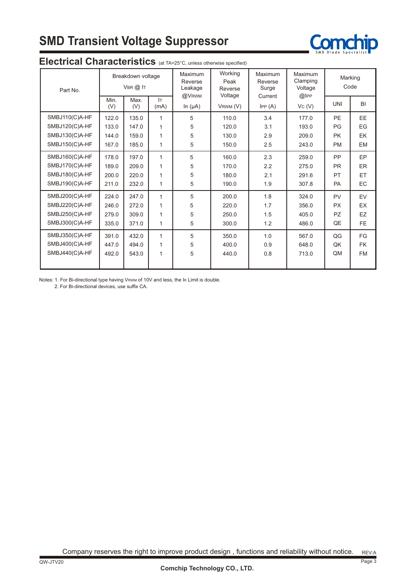# **SMD Transient Voltage Suppressor**



| Part No.       | Breakdown voltage<br>VBR @ IT |             | Maximum<br>Reverse<br>Leakage<br>@VRWM | Working<br>Peak<br>Reverse<br>Voltage | Maximum<br>Reverse<br>Surge<br>Current | Maximum<br>Clamping<br>Voltage<br>$@$ $ PP$ | Marking<br>Code |            |           |
|----------------|-------------------------------|-------------|----------------------------------------|---------------------------------------|----------------------------------------|---------------------------------------------|-----------------|------------|-----------|
|                | Min.<br>(V)                   | Max.<br>(V) | IT.<br>(mA)                            | IR $(\mu A)$                          | VRWM (V)                               | IPP(A)                                      | Vc(V)           | <b>UNI</b> | BI        |
| SMBJ110(C)A-HF | 122.0                         | 135.0       | 1                                      | 5                                     | 110.0                                  | 3.4                                         | 177.0           | <b>PE</b>  | EE        |
| SMBJ120(C)A-HF | 133.0                         | 147.0       | 1                                      | 5                                     | 120.0                                  | 3.1                                         | 193.0           | PG         | EG        |
| SMBJ130(C)A-HF | 144.0                         | 159.0       | 1                                      | 5                                     | 130.0                                  | 2.9                                         | 209.0           | <b>PK</b>  | EK        |
| SMBJ150(C)A-HF | 167.0                         | 185.0       | 1                                      | 5                                     | 150.0                                  | 2.5                                         | 243.0           | <b>PM</b>  | <b>EM</b> |
| SMBJ160(C)A-HF | 178.0                         | 197.0       | 1                                      | 5                                     | 160.0                                  | 2.3                                         | 259.0           | <b>PP</b>  | EP        |
| SMBJ170(C)A-HF | 189.0                         | 209.0       | 1                                      | 5                                     | 170.0                                  | 2.2                                         | 275.0           | <b>PR</b>  | <b>ER</b> |
| SMBJ180(C)A-HF | 200.0                         | 220.0       | 1                                      | 5                                     | 180.0                                  | 2.1                                         | 291.6           | PT         | ET.       |
| SMBJ190(C)A-HF | 211.0                         | 232.0       | 1                                      | 5                                     | 190.0                                  | 1.9                                         | 307.8           | <b>PA</b>  | EC        |
| SMBJ200(C)A-HF | 224.0                         | 247.0       | 1                                      | 5                                     | 200.0                                  | 1.8                                         | 324.0           | <b>PV</b>  | EV        |
| SMBJ220(C)A-HF | 246.0                         | 272.0       | 1                                      | 5                                     | 220.0                                  | 1.7                                         | 356.0           | <b>PX</b>  | <b>EX</b> |
| SMBJ250(C)A-HF | 279.0                         | 309.0       | 1                                      | 5                                     | 250.0                                  | 1.5                                         | 405.0           | <b>PZ</b>  | EZ        |
| SMBJ300(C)A-HF | 335.0                         | 371.0       | 1                                      | 5                                     | 300.0                                  | 1.2                                         | 486.0           | QE         | <b>FE</b> |
| SMBJ350(C)A-HF | 391.0                         | 432.0       | 1                                      | 5                                     | 350.0                                  | 1.0                                         | 567.0           | QG         | FG        |
| SMBJ400(C)A-HF | 447.0                         | 494.0       | 1                                      | 5                                     | 400.0                                  | 0.9                                         | 648.0           | QK         | <b>FK</b> |
| SMBJ440(C)A-HF | 492.0                         | 543.0       | 1                                      | 5                                     | 440.0                                  | 0.8                                         | 713.0           | QM         | <b>FM</b> |
|                |                               |             |                                        |                                       |                                        |                                             |                 |            |           |

#### **Electrical Characteristics** (at TA=25°C, unless otherwise specified)

Notes: 1. For Bi-directional type having VRWM of 10V and less, the IR Limit is double.

2. For Bi-directional devices, use suffix CA.

REV:A Company reserves the right to improve product design , functions and reliability without notice.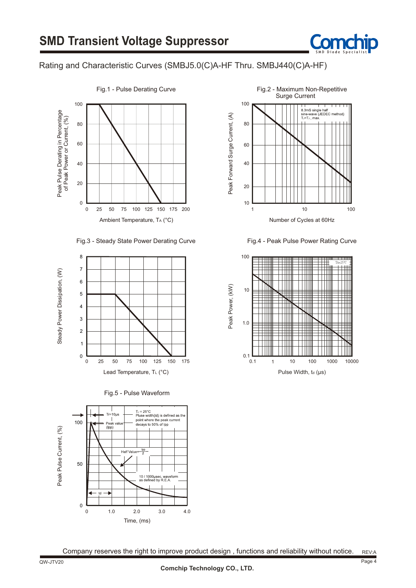

#### Rating and Characteristic Curves (SMBJ5.0(C)A-HF Thru. SMBJ440(C)A-HF)













Fig.4 - Peak Pulse Power Rating Curve

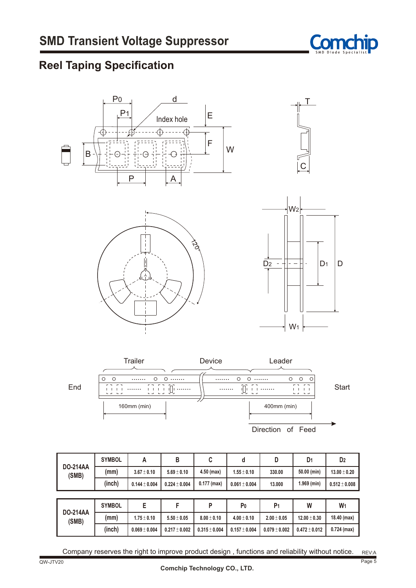

## **Reel Taping Specification**





| <b>DO-214AA</b>          | <b>SYMBOL</b> | A                 | В                 | C                 | d                 | D                 | D <sub>1</sub>    | D <sub>2</sub>    |
|--------------------------|---------------|-------------------|-------------------|-------------------|-------------------|-------------------|-------------------|-------------------|
| (SMB)                    | (mm)          | $3.67 \pm 0.10$   | $5.69 \pm 0.10$   | $4.50$ (max)      | $1.55 \pm 0.10$   | 330.00            | 50.00 (min)       | $13.00 \pm 0.20$  |
|                          | (inch)        | $0.144 \pm 0.004$ | $0.224 \pm 0.004$ | $0.177$ (max)     | $0.061 \pm 0.004$ | 13,000            | $1.969$ (min)     | $0.512 \pm 0.008$ |
|                          |               |                   |                   |                   |                   |                   |                   |                   |
|                          | <b>SYMBOL</b> | E                 | F                 | P                 | P <sub>0</sub>    | P <sub>1</sub>    | W                 | W <sub>1</sub>    |
| <b>DO-214AA</b><br>(SMB) | (mm)          | $1.75 \pm 0.10$   | $5.50 \pm 0.05$   | $8.00 \pm 0.10$   | $4.00 \pm 0.10$   | $2.00 \pm 0.05$   | $12.00 \pm 0.30$  | 18.40 (max)       |
|                          | (inch)        | $0.069 \pm 0.004$ | $0.217 \pm 0.002$ | $0.315 \pm 0.004$ | $0.157 \pm 0.004$ | $0.079 \pm 0.002$ | $0.472 \pm 0.012$ | $0.724$ (max)     |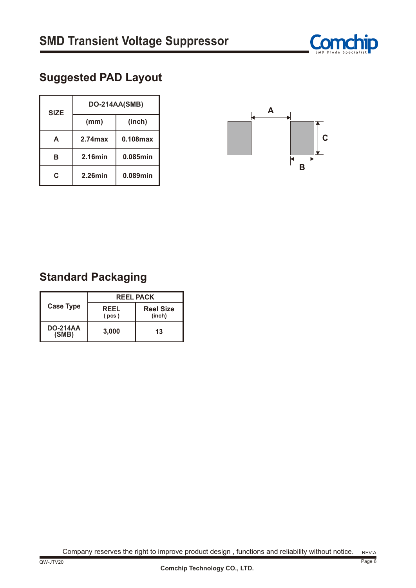

## **Suggested PAD Layout**

| <b>SIZE</b> | DO-214AA(SMB) |             |  |  |  |
|-------------|---------------|-------------|--|--|--|
|             | (mm)          | (inch)      |  |  |  |
| A           | $2.74$ max    | $0.108$ max |  |  |  |
| в           | $2.16$ min    | 0.085min    |  |  |  |
| C           | $2.26$ min    | 0.089min    |  |  |  |



## **Standard Packaging**

|                          | <b>REEL PACK</b>     |                            |  |  |  |
|--------------------------|----------------------|----------------------------|--|--|--|
| <b>Case Type</b>         | <b>REEL</b><br>(pcs) | <b>Reel Size</b><br>(inch) |  |  |  |
| <b>DO-214AA</b><br>(SMB) | 3,000                | 13                         |  |  |  |